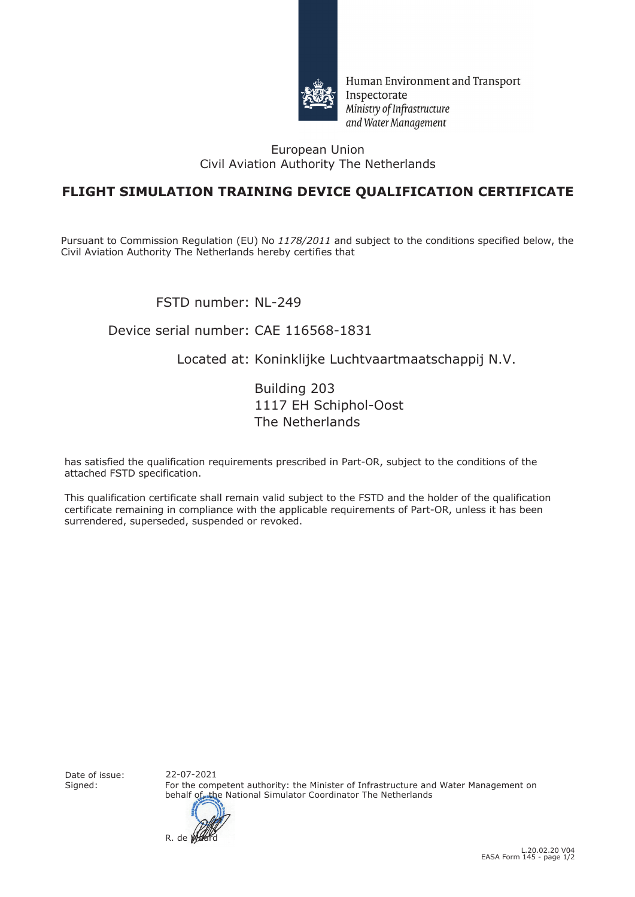

Human Environment and Transport Inspectorate Ministry of Infrastructure and Water Management

#### European Union Civil Aviation Authority The Netherlands

## **FLIGHT SIMULATION TRAINING DEVICE QUALIFICATION CERTIFICATE**

Pursuant to Commission Regulation (EU) No *1178/2011* and subject to the conditions specified below, the Civil Aviation Authority The Netherlands hereby certifies that

FSTD number: NL-249

### Device serial number: CAE 116568-1831

### Located at: Koninklijke Luchtvaartmaatschappij N.V.

Building 203 1117 EH Schiphol-Oost The Netherlands

has satisfied the qualification requirements prescribed in Part-OR, subject to the conditions of the attached FSTD specification.

This qualification certificate shall remain valid subject to the FSTD and the holder of the qualification certificate remaining in compliance with the applicable requirements of Part-OR, unless it has been surrendered, superseded, suspended or revoked.

Date of issue:<br>Signed:

For the competent authority: the Minister of Infrastructure and Water Management on behalf of the National Simulator Coordinator The Netherlands 22-07-2021